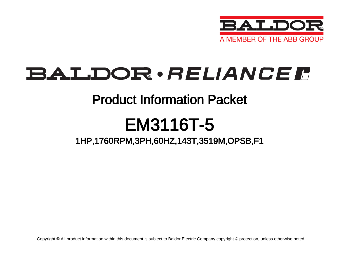

## BALDOR · RELIANCE F

### Product Information Packet

# EM3116T-5

### 1HP,1760RPM,3PH,60HZ,143T,3519M,OPSB,F1

Copyright © All product information within this document is subject to Baldor Electric Company copyright © protection, unless otherwise noted.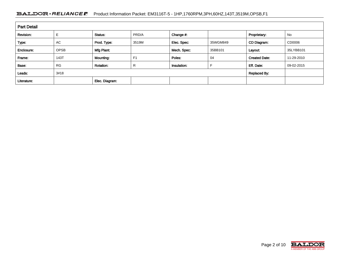#### BALDOR · RELIANCE F Product Information Packet: EM3116T-5 - 1HP,1760RPM,3PH,60HZ,143T,3519M,OPSB,F1

| <b>Part Detail</b> |             |                  |                     |             |          |                      |            |  |  |
|--------------------|-------------|------------------|---------------------|-------------|----------|----------------------|------------|--|--|
| Revision:          |             | Status:          | PRD/A               | Change #:   |          | Proprietary:         | No         |  |  |
| Type:              | AC          | Prod. Type:      | 3519M               | Elec. Spec: | 35WGM849 | CD Diagram:          | CD0006     |  |  |
| Enclosure:         | <b>OPSB</b> | Mfg Plant:       |                     | Mech. Spec: | 35BB101  | Layout:              | 35LYBB101  |  |  |
| Frame:             | 143T        | Mounting:        | F <sub>1</sub>      | Poles:      | 04       | <b>Created Date:</b> | 11-29-2010 |  |  |
| Base:              | <b>RG</b>   | <b>Rotation:</b> | R                   | Insulation: |          | Eff. Date:           | 09-02-2015 |  |  |
| Leads:             | 3#18        |                  | <b>Replaced By:</b> |             |          |                      |            |  |  |
| Literature:        |             | Elec. Diagram:   |                     |             |          |                      |            |  |  |

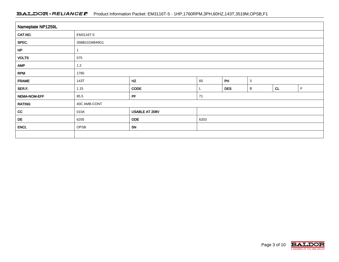#### BALDOR · RELIANCE F Product Information Packet: EM3116T-5 - 1HP,1760RPM,3PH,60HZ,143T,3519M,OPSB,F1

| Nameplate NP1259L |                                        |                |  |            |   |    |   |  |  |
|-------------------|----------------------------------------|----------------|--|------------|---|----|---|--|--|
| CAT.NO.           | EM3116T-5                              |                |  |            |   |    |   |  |  |
| SPEC.             | 35BB101M849G1                          |                |  |            |   |    |   |  |  |
| HP                |                                        |                |  |            |   |    |   |  |  |
| <b>VOLTS</b>      | 575                                    |                |  |            |   |    |   |  |  |
| <b>AMP</b>        | 1.2                                    |                |  |            |   |    |   |  |  |
| <b>RPM</b>        | 1760                                   |                |  |            |   |    |   |  |  |
| <b>FRAME</b>      | HZ<br>PH<br>60<br>$\mathbf{3}$<br>143T |                |  |            |   |    |   |  |  |
| SER.F.            | 1.15                                   | CODE           |  | <b>DES</b> | B | CL | F |  |  |
| NEMA-NOM-EFF      | PF<br>85.5<br>71                       |                |  |            |   |    |   |  |  |
| <b>RATING</b>     | 40C AMB-CONT                           |                |  |            |   |    |   |  |  |
| cc                | 010A                                   | USABLE AT 208V |  |            |   |    |   |  |  |
| DE                | <b>ODE</b><br>6205<br>6203             |                |  |            |   |    |   |  |  |
| <b>ENCL</b>       | OPSB                                   | SN             |  |            |   |    |   |  |  |
|                   |                                        |                |  |            |   |    |   |  |  |

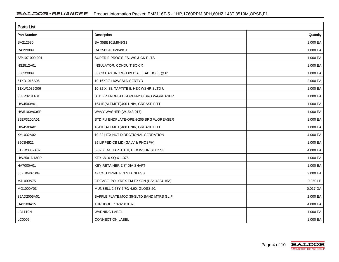| <b>Parts List</b> |                                           |            |  |  |  |  |
|-------------------|-------------------------------------------|------------|--|--|--|--|
| Part Number       | Description                               | Quantity   |  |  |  |  |
| SA212580          | SA 35BB101M849G1                          | 1.000 EA   |  |  |  |  |
| RA199809          | RA 35BB101M849G1                          | 1.000 EA   |  |  |  |  |
| S/P107-000-001    | SUPER E PROC'S-FS, WS & CK PLTS           | 1.000 EA   |  |  |  |  |
| NS2512A01         | INSULATOR, CONDUIT BOX X                  | 1.000 EA   |  |  |  |  |
| 35CB3009          | 35 CB CASTING W/1.09 DIA. LEAD HOLE @ 6:  | 1.000 EA   |  |  |  |  |
| 51XB1016A06       | 10-16X3/8 HXWSSLD SERTYB                  | 2.000 EA   |  |  |  |  |
| 11XW1032G06       | 10-32 X .38, TAPTITE II, HEX WSHR SLTD U  | 1.000 EA   |  |  |  |  |
| 35EP3201A01       | STD FR ENDPLATE-OPEN-203 BRG W/GREASER    | 1.000 EA   |  |  |  |  |
| HW4500A01         | 1641B(ALEMITE)400 UNIV, GREASE FITT       | 1.000 EA   |  |  |  |  |
| HW5100A03SP       | WAVY WASHER (W1543-017)                   | 1.000 EA   |  |  |  |  |
| 35EP3200A01       | STD PU ENDPLATE-OPEN-205 BRG W/GREASER    | 1.000 EA   |  |  |  |  |
| HW4500A01         | 1641B(ALEMITE)400 UNIV, GREASE FITT       | 1.000 EA   |  |  |  |  |
| XY1032A02         | 10-32 HEX NUT DIRECTIONAL SERRATION       | 4.000 EA   |  |  |  |  |
| 35CB4521          | 35 LIPPED CB LID (GALV & PHOSPH)          | 1.000 EA   |  |  |  |  |
| 51XW0832A07       | 8-32 X .44, TAPTITE II, HEX WSHR SLTD SE  | 4.000 EA   |  |  |  |  |
| HW2501D13SP       | KEY, 3/16 SQ X 1.375                      | 1.000 EA   |  |  |  |  |
| HA7000A01         | KEY RETAINER 7/8" DIA SHAFT               | 1.000 EA   |  |  |  |  |
| 85XU0407S04       | 4X1/4 U DRIVE PIN STAINLESS               | 2.000 EA   |  |  |  |  |
| MJ1000A75         | GREASE, POLYREX EM EXXON (USe 4824-15A)   | $0.050$ LB |  |  |  |  |
| MG1000Y03         | MUNSELL 2.53Y 6.70/ 4.60, GLOSS 20,       | 0.017 GA   |  |  |  |  |
| 35AD2005A01       | BAFFLE PLATE, MOD 35-SLTD BAND MTRS GL.F. | 2.000 EA   |  |  |  |  |
| HA3100A15         | THRUBOLT 10-32 X 8.375                    | 4.000 EA   |  |  |  |  |
| LB1119N           | <b>WARNING LABEL</b>                      | 1.000 EA   |  |  |  |  |
| LC0006            | <b>CONNECTION LABEL</b>                   | 1.000 EA   |  |  |  |  |

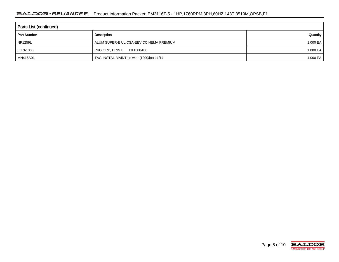| <b>Parts List (continued)</b> |                                          |          |  |  |  |  |  |
|-------------------------------|------------------------------------------|----------|--|--|--|--|--|
| <b>Part Number</b>            | Quantity                                 |          |  |  |  |  |  |
| <b>NP1259L</b>                | ALUM SUPER-E UL CSA-EEV CC NEMA PREMIUM  | 1.000 EA |  |  |  |  |  |
| 35PA1066                      | PKG GRP, PRINT<br>PK1008A06              | 1.000 EA |  |  |  |  |  |
| MN416A01                      | TAG-INSTAL-MAINT no wire (1200/bx) 11/14 | 1.000 EA |  |  |  |  |  |

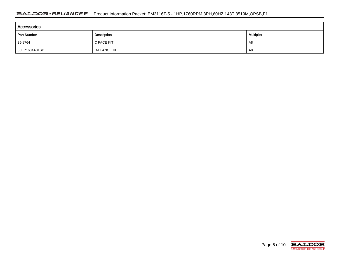| <b>Accessories</b> |                     |    |  |  |  |  |  |
|--------------------|---------------------|----|--|--|--|--|--|
| <b>Part Number</b> | Multiplier          |    |  |  |  |  |  |
| 35-8764            | C FACE KIT          | A8 |  |  |  |  |  |
| 35EP1604A01SP      | <b>D-FLANGE KIT</b> | A8 |  |  |  |  |  |

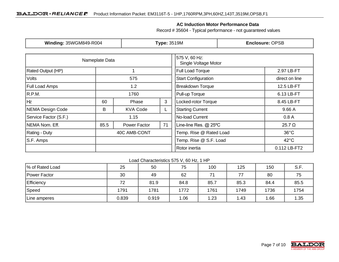#### **AC Induction Motor Performance Data**

Record # 35604 - Typical performance - not guaranteed values

| Winding: 35WGM849-R004                   |                | <b>Type: 3519M</b> |                                       | <b>Enclosure: OPSB</b>         |                                          |  |
|------------------------------------------|----------------|--------------------|---------------------------------------|--------------------------------|------------------------------------------|--|
|                                          | Nameplate Data |                    | 575 V, 60 Hz:<br>Single Voltage Motor |                                |                                          |  |
| <b>Rated Output (HP)</b>                 |                |                    |                                       | Full Load Torque<br>2.97 LB-FT |                                          |  |
| <b>Volts</b>                             |                | 575                |                                       | <b>Start Configuration</b>     | direct on line                           |  |
| <b>Full Load Amps</b>                    | 1.2            |                    |                                       | <b>Breakdown Torque</b>        | 12.5 LB-FT                               |  |
| R.P.M.                                   |                | 1760               |                                       | Pull-up Torque                 | 6.13 LB-FT                               |  |
| Hz                                       | 60             | Phase              | 3                                     | Locked-rotor Torque            | 8.45 LB-FT                               |  |
| NEMA Design Code<br>B<br><b>KVA Code</b> |                | L                  | <b>Starting Current</b>               | 9.66 A                         |                                          |  |
| Service Factor (S.F.)                    | 1.15           |                    | No-load Current                       | 0.8A                           |                                          |  |
| NEMA Nom. Eff.                           | 85.5           | Power Factor       | 71                                    | Line-line Res. @ 25°C          | $25.7 \Omega$                            |  |
| <b>Rating - Duty</b>                     | 40C AMB-CONT   |                    |                                       | Temp. Rise @ Rated Load        | $36^{\circ}$ C                           |  |
| S.F. Amps                                |                |                    |                                       |                                | Temp. Rise @ S.F. Load<br>$42^{\circ}$ C |  |
|                                          |                |                    |                                       | Rotor inertia                  | 0.112 LB-FT2                             |  |

#### Load Characteristics 575 V, 60 Hz, 1 HP

| % of Rated Load   | 25    | 50    | 75   | 100  | 125  | 150  | S.F. |
|-------------------|-------|-------|------|------|------|------|------|
| Power Factor      | 30    | 49    | 62   | 71   | 77   | 80   | 75   |
| <b>Efficiency</b> | 72    | 81.9  | 84.8 | 85.7 | 85.3 | 84.4 | 85.5 |
| Speed             | 1791  | 1781  | 1772 | 1761 | 1749 | 1736 | 1754 |
| Line amperes      | 0.839 | 0.919 | 1.06 | 1.23 | 1.43 | .66  | 1.35 |

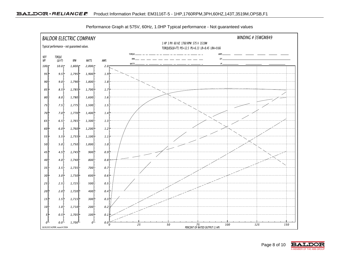

Performance Graph at 575V, 60Hz, 1.0HP Typical performance - Not guaranteed values

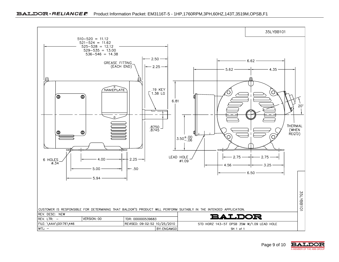